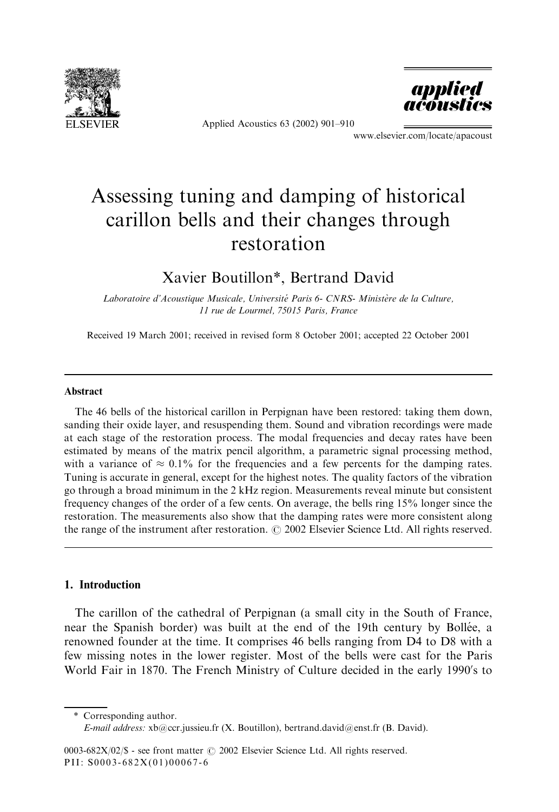

Applied Acoustics 63 (2002) 901–910



www.elsevier.com/locate/apacoust

# Assessing tuning and damping of historical carillon bells and their changes through restoration

# Xavier Boutillon\*, Bertrand David

Laboratoire d'Acoustique Musicale, Université Paris 6- CNRS- Ministère de la Culture, 11 rue de Lourmel, 75015 Paris, France

Received 19 March 2001; received in revised form 8 October 2001; accepted 22 October 2001

#### Abstract

The 46 bells of the historical carillon in Perpignan have been restored: taking them down, sanding their oxide layer, and resuspending them. Sound and vibration recordings were made at each stage of the restoration process. The modal frequencies and decay rates have been estimated by means of the matrix pencil algorithm, a parametric signal processing method, with a variance of  $\approx 0.1\%$  for the frequencies and a few percents for the damping rates. Tuning is accurate in general, except for the highest notes. The quality factors of the vibration go through a broad minimum in the 2 kHz region. Measurements reveal minute but consistent frequency changes of the order of a few cents. On average, the bells ring 15% longer since the restoration. The measurements also show that the damping rates were more consistent along the range of the instrument after restoration.  $\odot$  2002 Elsevier Science Ltd. All rights reserved.

#### 1. Introduction

The carillon of the cathedral of Perpignan (a small city in the South of France, near the Spanish border) was built at the end of the 19th century by Bollée, a renowned founder at the time. It comprises 46 bells ranging from D4 to D8 with a few missing notes in the lower register. Most of the bells were cast for the Paris World Fair in 1870. The French Ministry of Culture decided in the early 1990's to

\* Corresponding author.

E-mail address: xb@ccr.jussieu.fr (X. Boutillon), bertrand.david@enst.fr (B. David).

<sup>0003-682</sup>X/02/\$ - see front matter  $\odot$  2002 Elsevier Science Ltd. All rights reserved. PII: S0003-682X(01)00067-6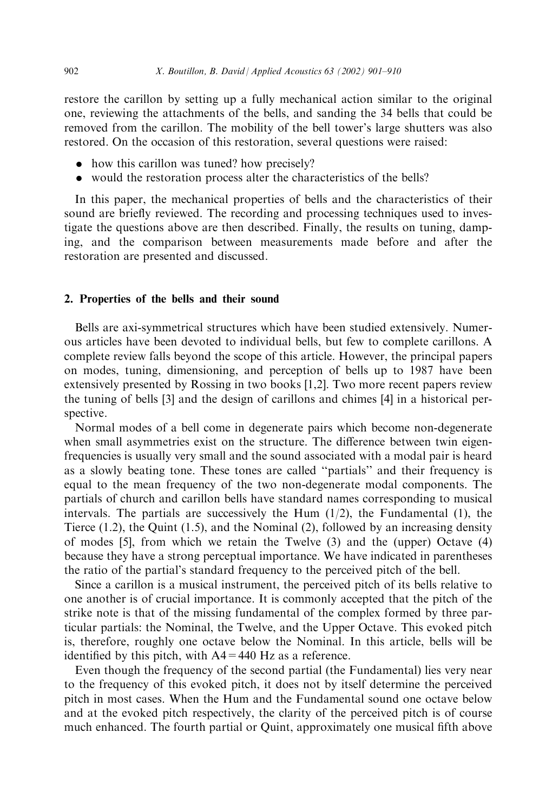restore the carillon by setting up a fully mechanical action similar to the original one, reviewing the attachments of the bells, and sanding the 34 bells that could be removed from the carillon. The mobility of the bell tower's large shutters was also restored. On the occasion of this restoration, several questions were raised:

- . how this carillon was tuned? how precisely?
- . would the restoration process alter the characteristics of the bells?

In this paper, the mechanical properties of bells and the characteristics of their sound are briefly reviewed. The recording and processing techniques used to investigate the questions above are then described. Finally, the results on tuning, damping, and the comparison between measurements made before and after the restoration are presented and discussed.

#### 2. Properties of the bells and their sound

Bells are axi-symmetrical structures which have been studied extensively. Numerous articles have been devoted to individual bells, but few to complete carillons. A complete review falls beyond the scope of this article. However, the principal papers on modes, tuning, dimensioning, and perception of bells up to 1987 have been extensively presented by Rossing in two books [1,2]. Two more recent papers review the tuning of bells [3] and the design of carillons and chimes [4] in a historical perspective.

Normal modes of a bell come in degenerate pairs which become non-degenerate when small asymmetries exist on the structure. The difference between twin eigenfrequencies is usually very small and the sound associated with a modal pair is heard as a slowly beating tone. These tones are called ''partials'' and their frequency is equal to the mean frequency of the two non-degenerate modal components. The partials of church and carillon bells have standard names corresponding to musical intervals. The partials are successively the Hum  $(1/2)$ , the Fundamental  $(1)$ , the Tierce (1.2), the Quint (1.5), and the Nominal (2), followed by an increasing density of modes [5], from which we retain the Twelve (3) and the (upper) Octave (4) because they have a strong perceptual importance. We have indicated in parentheses the ratio of the partial's standard frequency to the perceived pitch of the bell.

Since a carillon is a musical instrument, the perceived pitch of its bells relative to one another is of crucial importance. It is commonly accepted that the pitch of the strike note is that of the missing fundamental of the complex formed by three particular partials: the Nominal, the Twelve, and the Upper Octave. This evoked pitch is, therefore, roughly one octave below the Nominal. In this article, bells will be identified by this pitch, with  $A4 = 440$  Hz as a reference.

Even though the frequency of the second partial (the Fundamental) lies very near to the frequency of this evoked pitch, it does not by itself determine the perceived pitch in most cases. When the Hum and the Fundamental sound one octave below and at the evoked pitch respectively, the clarity of the perceived pitch is of course much enhanced. The fourth partial or Quint, approximately one musical fifth above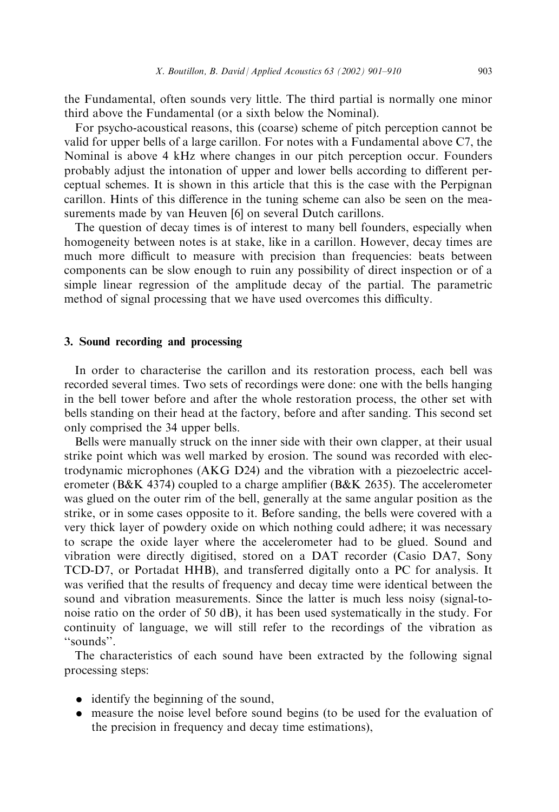the Fundamental, often sounds very little. The third partial is normally one minor third above the Fundamental (or a sixth below the Nominal).

For psycho-acoustical reasons, this (coarse) scheme of pitch perception cannot be valid for upper bells of a large carillon. For notes with a Fundamental above C7, the Nominal is above 4 kHz where changes in our pitch perception occur. Founders probably adjust the intonation of upper and lower bells according to different perceptual schemes. It is shown in this article that this is the case with the Perpignan carillon. Hints of this difference in the tuning scheme can also be seen on the measurements made by van Heuven [6] on several Dutch carillons.

The question of decay times is of interest to many bell founders, especially when homogeneity between notes is at stake, like in a carillon. However, decay times are much more difficult to measure with precision than frequencies: beats between components can be slow enough to ruin any possibility of direct inspection or of a simple linear regression of the amplitude decay of the partial. The parametric method of signal processing that we have used overcomes this difficulty.

#### 3. Sound recording and processing

In order to characterise the carillon and its restoration process, each bell was recorded several times. Two sets of recordings were done: one with the bells hanging in the bell tower before and after the whole restoration process, the other set with bells standing on their head at the factory, before and after sanding. This second set only comprised the 34 upper bells.

Bells were manually struck on the inner side with their own clapper, at their usual strike point which was well marked by erosion. The sound was recorded with electrodynamic microphones (AKG D24) and the vibration with a piezoelectric accelerometer (B&K 4374) coupled to a charge amplifier (B&K 2635). The accelerometer was glued on the outer rim of the bell, generally at the same angular position as the strike, or in some cases opposite to it. Before sanding, the bells were covered with a very thick layer of powdery oxide on which nothing could adhere; it was necessary to scrape the oxide layer where the accelerometer had to be glued. Sound and vibration were directly digitised, stored on a DAT recorder (Casio DA7, Sony TCD-D7, or Portadat HHB), and transferred digitally onto a PC for analysis. It was verified that the results of frequency and decay time were identical between the sound and vibration measurements. Since the latter is much less noisy (signal-tonoise ratio on the order of 50 dB), it has been used systematically in the study. For continuity of language, we will still refer to the recordings of the vibration as ''sounds''.

The characteristics of each sound have been extracted by the following signal processing steps:

- identify the beginning of the sound,
- . measure the noise level before sound begins (to be used for the evaluation of the precision in frequency and decay time estimations),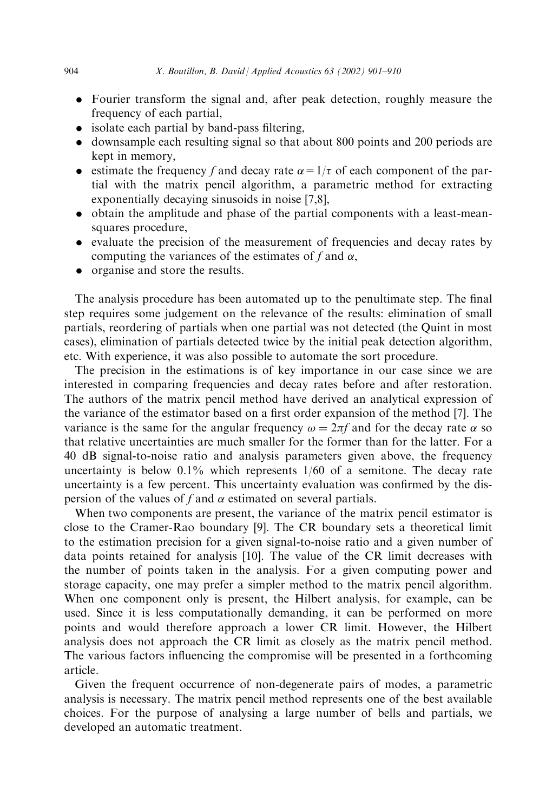- . Fourier transform the signal and, after peak detection, roughly measure the frequency of each partial,
- . isolate each partial by band-pass filtering,
- . downsample each resulting signal so that about 800 points and 200 periods are kept in memory,
- estimate the frequency f and decay rate  $\alpha = 1/\tau$  of each component of the partial with the matrix pencil algorithm, a parametric method for extracting exponentially decaying sinusoids in noise [7,8],
- . obtain the amplitude and phase of the partial components with a least-meansquares procedure,
- . evaluate the precision of the measurement of frequencies and decay rates by computing the variances of the estimates of f and  $\alpha$ ,
- organise and store the results.

The analysis procedure has been automated up to the penultimate step. The final step requires some judgement on the relevance of the results: elimination of small partials, reordering of partials when one partial was not detected (the Quint in most cases), elimination of partials detected twice by the initial peak detection algorithm, etc. With experience, it was also possible to automate the sort procedure.

The precision in the estimations is of key importance in our case since we are interested in comparing frequencies and decay rates before and after restoration. The authors of the matrix pencil method have derived an analytical expression of the variance of the estimator based on a first order expansion of the method [7]. The variance is the same for the angular frequency  $\omega = 2\pi f$  and for the decay rate  $\alpha$  so that relative uncertainties are much smaller for the former than for the latter. For a 40 dB signal-to-noise ratio and analysis parameters given above, the frequency uncertainty is below  $0.1\%$  which represents  $1/60$  of a semitone. The decay rate uncertainty is a few percent. This uncertainty evaluation was confirmed by the dispersion of the values of f and  $\alpha$  estimated on several partials.

When two components are present, the variance of the matrix pencil estimator is close to the Cramer-Rao boundary [9]. The CR boundary sets a theoretical limit to the estimation precision for a given signal-to-noise ratio and a given number of data points retained for analysis [10]. The value of the CR limit decreases with the number of points taken in the analysis. For a given computing power and storage capacity, one may prefer a simpler method to the matrix pencil algorithm. When one component only is present, the Hilbert analysis, for example, can be used. Since it is less computationally demanding, it can be performed on more points and would therefore approach a lower CR limit. However, the Hilbert analysis does not approach the CR limit as closely as the matrix pencil method. The various factors influencing the compromise will be presented in a forthcoming article.

Given the frequent occurrence of non-degenerate pairs of modes, a parametric analysis is necessary. The matrix pencil method represents one of the best available choices. For the purpose of analysing a large number of bells and partials, we developed an automatic treatment.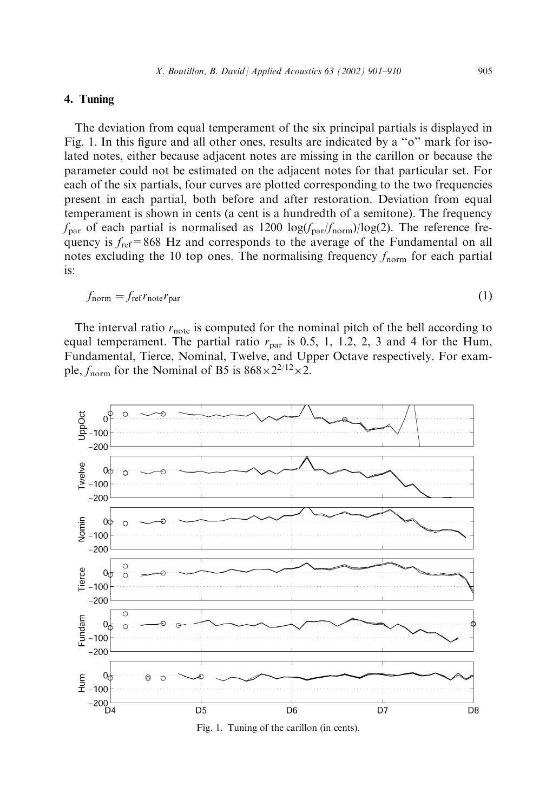# 4. Tuning

The deviation from equal temperament of the six principal partials is displayed in Fig. 1. In this figure and all other ones, results are indicated by a "o" mark for isolated notes, either because adjacent notes are missing in the carillon or because the parameter could not be estimated on the adjacent notes for that particular set. For each of the six partials, four curves are plotted corresponding to the two frequencies present in each partial, both before and after restoration. Deviation from equal temperament is shown in cents (a cent is a hundredth of a semitone). The frequency  $f_{\text{par}}$  of each partial is normalised as 1200 log( $f_{\text{par}}/f_{\text{norm}}$ )/log(2). The reference frequency is  $f_{ref}$ =868 Hz and corresponds to the average of the Fundamental on all notes excluding the 10 top ones. The normalising frequency  $f_{\text{norm}}$  for each partial is:

$$
f_{\text{norm}} = f_{\text{ref}} r_{\text{note}} r_{\text{par}} \tag{1}
$$

The interval ratio  $r_{\text{note}}$  is computed for the nominal pitch of the bell according to equal temperament. The partial ratio  $r_{\text{par}}$  is 0.5, 1, 1.2, 2, 3 and 4 for the Hum, Fundamental, Tierce, Nominal, Twelve, and Upper Octave respectively. For example,  $f_{\text{norm}}$  for the Nominal of B5 is  $868 \times 2^{2/12} \times 2$ .



Fig. 1. Tuning of the carillon (in cents).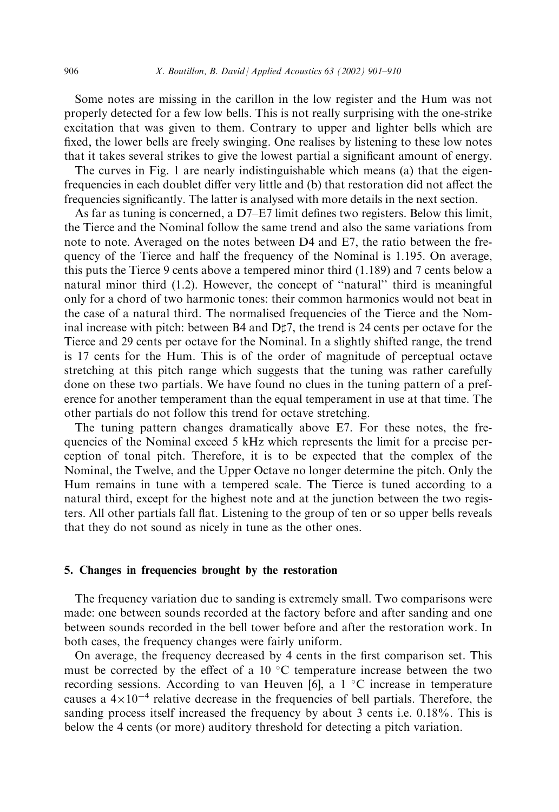Some notes are missing in the carillon in the low register and the Hum was not properly detected for a few low bells. This is not really surprising with the one-strike excitation that was given to them. Contrary to upper and lighter bells which are fixed, the lower bells are freely swinging. One realises by listening to these low notes that it takes several strikes to give the lowest partial a significant amount of energy.

The curves in Fig. 1 are nearly indistinguishable which means (a) that the eigenfrequencies in each doublet differ very little and (b) that restoration did not affect the frequencies significantly. The latter is analysed with more details in the next section.

As far as tuning is concerned, a D7–E7 limit defines two registers. Below this limit, the Tierce and the Nominal follow the same trend and also the same variations from note to note. Averaged on the notes between D4 and E7, the ratio between the frequency of the Tierce and half the frequency of the Nominal is 1.195. On average, this puts the Tierce 9 cents above a tempered minor third (1.189) and 7 cents below a natural minor third (1.2). However, the concept of ''natural'' third is meaningful only for a chord of two harmonic tones: their common harmonics would not beat in the case of a natural third. The normalised frequencies of the Tierce and the Nominal increase with pitch: between B4 and  $D\sharp 7$ , the trend is 24 cents per octave for the Tierce and 29 cents per octave for the Nominal. In a slightly shifted range, the trend is 17 cents for the Hum. This is of the order of magnitude of perceptual octave stretching at this pitch range which suggests that the tuning was rather carefully done on these two partials. We have found no clues in the tuning pattern of a preference for another temperament than the equal temperament in use at that time. The other partials do not follow this trend for octave stretching.

The tuning pattern changes dramatically above E7. For these notes, the frequencies of the Nominal exceed 5 kHz which represents the limit for a precise perception of tonal pitch. Therefore, it is to be expected that the complex of the Nominal, the Twelve, and the Upper Octave no longer determine the pitch. Only the Hum remains in tune with a tempered scale. The Tierce is tuned according to a natural third, except for the highest note and at the junction between the two registers. All other partials fall flat. Listening to the group of ten or so upper bells reveals that they do not sound as nicely in tune as the other ones.

### 5. Changes in frequencies brought by the restoration

The frequency variation due to sanding is extremely small. Two comparisons were made: one between sounds recorded at the factory before and after sanding and one between sounds recorded in the bell tower before and after the restoration work. In both cases, the frequency changes were fairly uniform.

On average, the frequency decreased by 4 cents in the first comparison set. This must be corrected by the effect of a 10  $^{\circ}$ C temperature increase between the two recording sessions. According to van Heuven [6], a  $1 \degree C$  increase in temperature causes a  $4\times10^{-4}$  relative decrease in the frequencies of bell partials. Therefore, the sanding process itself increased the frequency by about 3 cents i.e. 0.18%. This is below the 4 cents (or more) auditory threshold for detecting a pitch variation.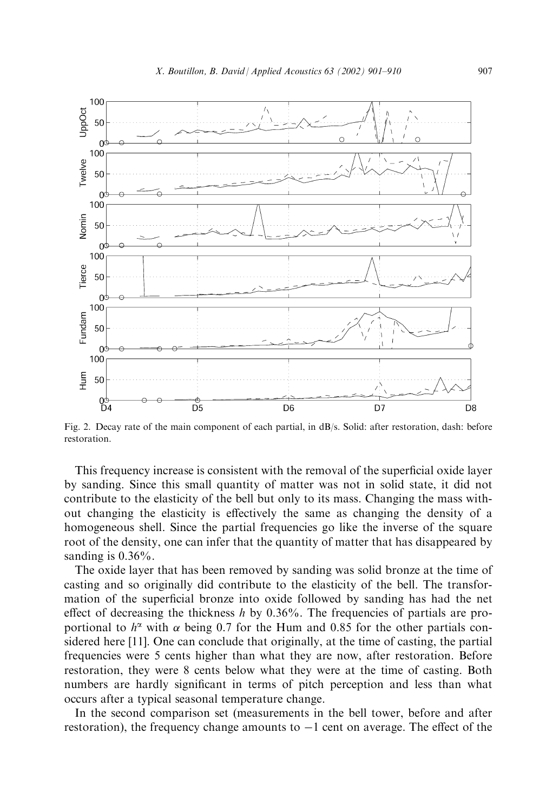

Fig. 2. Decay rate of the main component of each partial, in dB/s. Solid: after restoration, dash: before restoration.

This frequency increase is consistent with the removal of the superficial oxide layer by sanding. Since this small quantity of matter was not in solid state, it did not contribute to the elasticity of the bell but only to its mass. Changing the mass without changing the elasticity is effectively the same as changing the density of a homogeneous shell. Since the partial frequencies go like the inverse of the square root of the density, one can infer that the quantity of matter that has disappeared by sanding is  $0.36\%$ .

The oxide layer that has been removed by sanding was solid bronze at the time of casting and so originally did contribute to the elasticity of the bell. The transformation of the superficial bronze into oxide followed by sanding has had the net effect of decreasing the thickness h by  $0.36\%$ . The frequencies of partials are proportional to  $h^{\alpha}$  with  $\alpha$  being 0.7 for the Hum and 0.85 for the other partials considered here [11]. One can conclude that originally, at the time of casting, the partial frequencies were 5 cents higher than what they are now, after restoration. Before restoration, they were 8 cents below what they were at the time of casting. Both numbers are hardly significant in terms of pitch perception and less than what occurs after a typical seasonal temperature change.

In the second comparison set (measurements in the bell tower, before and after restoration), the frequency change amounts to  $-1$  cent on average. The effect of the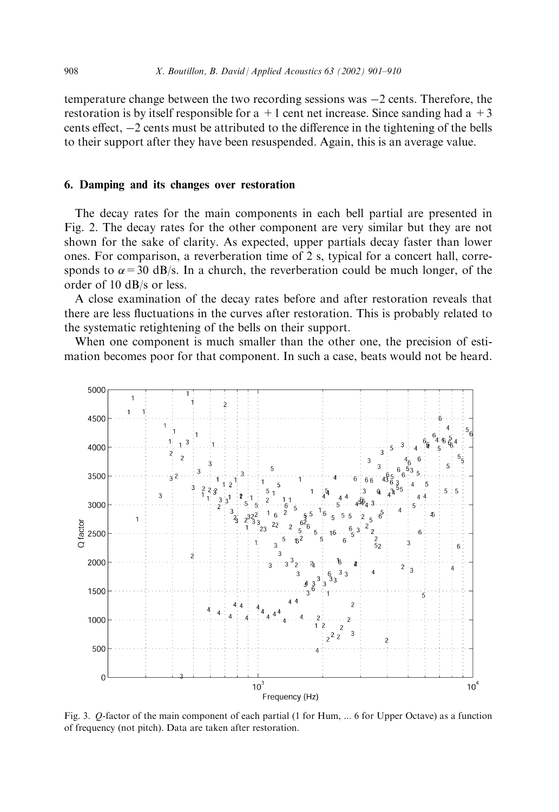temperature change between the two recording sessions was  $-2$  cents. Therefore, the restoration is by itself responsible for a  $+1$  cent net increase. Since sanding had a  $+3$ cents effect,  $-2$  cents must be attributed to the difference in the tightening of the bells to their support after they have been resuspended. Again, this is an average value.

## 6. Damping and its changes over restoration

The decay rates for the main components in each bell partial are presented in Fig. 2. The decay rates for the other component are very similar but they are not shown for the sake of clarity. As expected, upper partials decay faster than lower ones. For comparison, a reverberation time of 2 s, typical for a concert hall, corresponds to  $\alpha$  = 30 dB/s. In a church, the reverberation could be much longer, of the order of 10 dB/s or less.

A close examination of the decay rates before and after restoration reveals that there are less fluctuations in the curves after restoration. This is probably related to the systematic retightening of the bells on their support.

When one component is much smaller than the other one, the precision of estimation becomes poor for that component. In such a case, beats would not be heard.



Fig. 3. Q-factor of the main component of each partial (1 for Hum, ... 6 for Upper Octave) as a function of frequency (not pitch). Data are taken after restoration.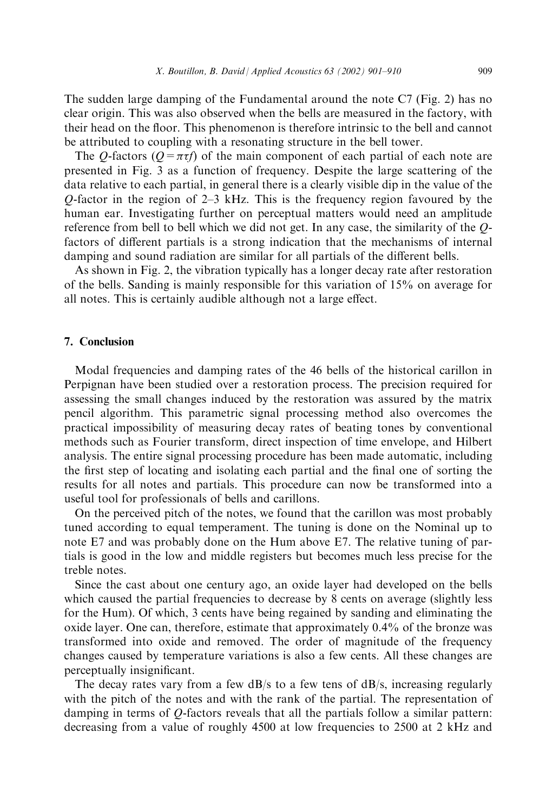The sudden large damping of the Fundamental around the note C7 (Fig. 2) has no clear origin. This was also observed when the bells are measured in the factory, with their head on the floor. This phenomenon is therefore intrinsic to the bell and cannot be attributed to coupling with a resonating structure in the bell tower.

The Q-factors ( $Q = \pi \tau f$ ) of the main component of each partial of each note are presented in Fig. 3 as a function of frequency. Despite the large scattering of the data relative to each partial, in general there is a clearly visible dip in the value of the Q-factor in the region of 2–3 kHz. This is the frequency region favoured by the human ear. Investigating further on perceptual matters would need an amplitude reference from bell to bell which we did not get. In any case, the similarity of the Qfactors of different partials is a strong indication that the mechanisms of internal damping and sound radiation are similar for all partials of the different bells.

As shown in Fig. 2, the vibration typically has a longer decay rate after restoration of the bells. Sanding is mainly responsible for this variation of 15% on average for all notes. This is certainly audible although not a large effect.

## 7. Conclusion

Modal frequencies and damping rates of the 46 bells of the historical carillon in Perpignan have been studied over a restoration process. The precision required for assessing the small changes induced by the restoration was assured by the matrix pencil algorithm. This parametric signal processing method also overcomes the practical impossibility of measuring decay rates of beating tones by conventional methods such as Fourier transform, direct inspection of time envelope, and Hilbert analysis. The entire signal processing procedure has been made automatic, including the first step of locating and isolating each partial and the final one of sorting the results for all notes and partials. This procedure can now be transformed into a useful tool for professionals of bells and carillons.

On the perceived pitch of the notes, we found that the carillon was most probably tuned according to equal temperament. The tuning is done on the Nominal up to note E7 and was probably done on the Hum above E7. The relative tuning of partials is good in the low and middle registers but becomes much less precise for the treble notes.

Since the cast about one century ago, an oxide layer had developed on the bells which caused the partial frequencies to decrease by 8 cents on average (slightly less for the Hum). Of which, 3 cents have being regained by sanding and eliminating the oxide layer. One can, therefore, estimate that approximately 0.4% of the bronze was transformed into oxide and removed. The order of magnitude of the frequency changes caused by temperature variations is also a few cents. All these changes are perceptually insignificant.

The decay rates vary from a few  $dB/s$  to a few tens of  $dB/s$ , increasing regularly with the pitch of the notes and with the rank of the partial. The representation of damping in terms of Q-factors reveals that all the partials follow a similar pattern: decreasing from a value of roughly 4500 at low frequencies to 2500 at 2 kHz and